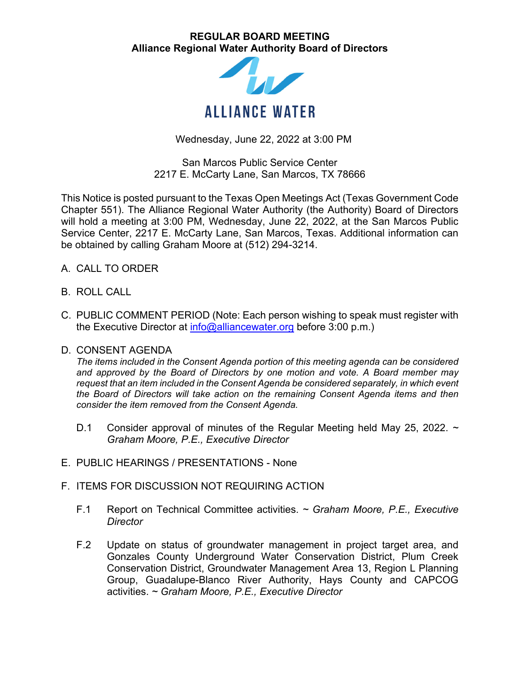## **REGULAR BOARD MEETING Alliance Regional Water Authority Board of Directors**



Wednesday, June 22, 2022 at 3:00 PM

San Marcos Public Service Center 2217 E. McCarty Lane, San Marcos, TX 78666

This Notice is posted pursuant to the Texas Open Meetings Act (Texas Government Code Chapter 551). The Alliance Regional Water Authority (the Authority) Board of Directors will hold a meeting at 3:00 PM, Wednesday, June 22, 2022, at the San Marcos Public Service Center, 2217 E. McCarty Lane, San Marcos, Texas. Additional information can be obtained by calling Graham Moore at (512) 294-3214.

- A. CALL TO ORDER
- B. ROLL CALL
- C. PUBLIC COMMENT PERIOD (Note: Each person wishing to speak must register with the Executive Director at  $info@alliancewater.org$  before 3:00 p.m.)

## D. CONSENT AGENDA

*The items included in the Consent Agenda portion of this meeting agenda can be considered and approved by the Board of Directors by one motion and vote. A Board member may request that an item included in the Consent Agenda be considered separately, in which event the Board of Directors will take action on the remaining Consent Agenda items and then consider the item removed from the Consent Agenda.* 

- D.1 Consider approval of minutes of the Regular Meeting held May 25, 2022. *~ Graham Moore, P.E., Executive Director*
- E. PUBLIC HEARINGS / PRESENTATIONS None
- F. ITEMS FOR DISCUSSION NOT REQUIRING ACTION
	- F.1 Report on Technical Committee activities. *~ Graham Moore, P.E., Executive Director*
	- F.2 Update on status of groundwater management in project target area, and Gonzales County Underground Water Conservation District, Plum Creek Conservation District, Groundwater Management Area 13, Region L Planning Group, Guadalupe-Blanco River Authority, Hays County and CAPCOG activities. *~ Graham Moore, P.E., Executive Director*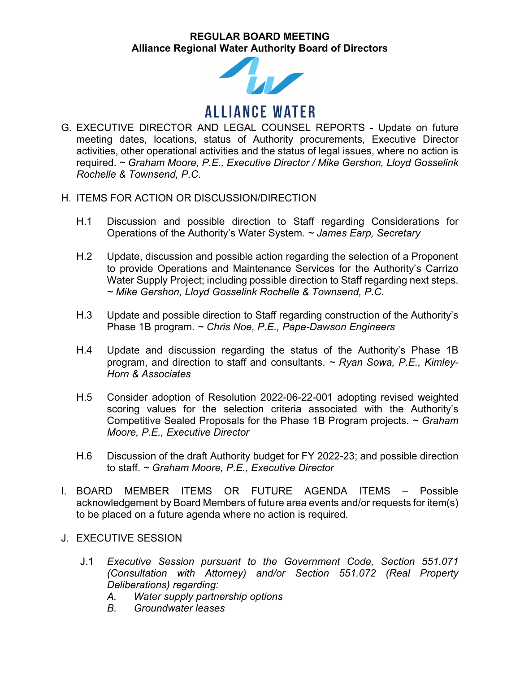## **REGULAR BOARD MEETING Alliance Regional Water Authority Board of Directors**



- G. EXECUTIVE DIRECTOR AND LEGAL COUNSEL REPORTS Update on future meeting dates, locations, status of Authority procurements, Executive Director activities, other operational activities and the status of legal issues, where no action is required. *~ Graham Moore, P.E., Executive Director / Mike Gershon, Lloyd Gosselink Rochelle & Townsend, P.C.*
- H. ITEMS FOR ACTION OR DISCUSSION/DIRECTION
	- H.1 Discussion and possible direction to Staff regarding Considerations for Operations of the Authority's Water System. *~ James Earp, Secretary*
	- H.2 Update, discussion and possible action regarding the selection of a Proponent to provide Operations and Maintenance Services for the Authority's Carrizo Water Supply Project; including possible direction to Staff regarding next steps. *~ Mike Gershon, Lloyd Gosselink Rochelle & Townsend, P.C.*
	- H.3 Update and possible direction to Staff regarding construction of the Authority's Phase 1B program. *~ Chris Noe, P.E., Pape-Dawson Engineers*
	- H.4 Update and discussion regarding the status of the Authority's Phase 1B program, and direction to staff and consultants. *~ Ryan Sowa, P.E., Kimley-Horn & Associates*
	- H.5 Consider adoption of Resolution 2022-06-22-001 adopting revised weighted scoring values for the selection criteria associated with the Authority's Competitive Sealed Proposals for the Phase 1B Program projects. *~ Graham Moore, P.E., Executive Director*
	- H.6 Discussion of the draft Authority budget for FY 2022-23; and possible direction to staff. *~ Graham Moore, P.E., Executive Director*
- I. BOARD MEMBER ITEMS OR FUTURE AGENDA ITEMS Possible acknowledgement by Board Members of future area events and/or requests for item(s) to be placed on a future agenda where no action is required.
- J. EXECUTIVE SESSION
	- J.1 *Executive Session pursuant to the Government Code, Section 551.071 (Consultation with Attorney) and/or Section 551.072 (Real Property Deliberations) regarding:* 
		- *A. Water supply partnership options*
		- *B. Groundwater leases*